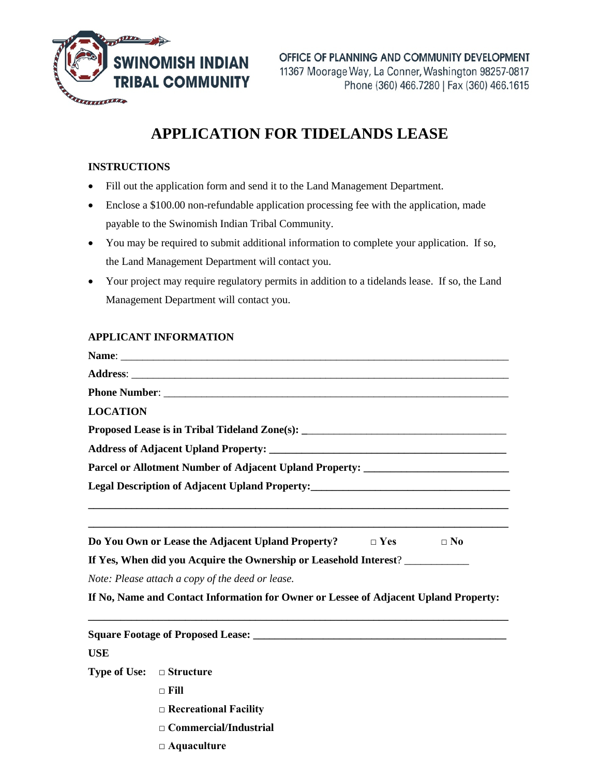

## **APPLICATION FOR TIDELANDS LEASE**

## **INSTRUCTIONS**

- Fill out the application form and send it to the Land Management Department.
- Enclose a \$100.00 non-refundable application processing fee with the application, made payable to the Swinomish Indian Tribal Community.
- You may be required to submit additional information to complete your application. If so, the Land Management Department will contact you.
- Your project may require regulatory permits in addition to a tidelands lease. If so, the Land Management Department will contact you.

## **APPLICANT INFORMATION**

| <b>LOCATION</b>                                                                      |
|--------------------------------------------------------------------------------------|
| Proposed Lease is in Tribal Tideland Zone(s): ___________________________________    |
|                                                                                      |
| Parcel or Allotment Number of Adjacent Upland Property: ________________________     |
| Legal Description of Adjacent Upland Property:___________________________________    |
|                                                                                      |
| Do You Own or Lease the Adjacent Upland Property? $\Box$ Yes<br>$\Box$ No            |
| If Yes, When did you Acquire the Ownership or Leasehold Interest?                    |
| Note: Please attach a copy of the deed or lease.                                     |
| If No, Name and Contact Information for Owner or Lessee of Adjacent Upland Property: |
|                                                                                      |
| <b>USE</b>                                                                           |
| <b>Type of Use:</b> $\Box$ Structure                                                 |
| $\Box$ Fill                                                                          |

- **□ Recreational Facility**
- **□ Commercial/Industrial**
- **□ Aquaculture**